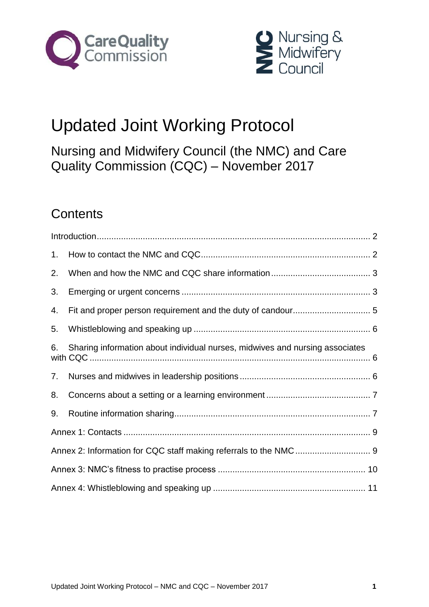



# Updated Joint Working Protocol

Nursing and Midwifery Council (the NMC) and Care Quality Commission (CQC) – November 2017

# **Contents**

| 1. |                                                                              |  |
|----|------------------------------------------------------------------------------|--|
| 2. |                                                                              |  |
| 3. |                                                                              |  |
| 4. |                                                                              |  |
| 5. |                                                                              |  |
| 6. | Sharing information about individual nurses, midwives and nursing associates |  |
| 7. |                                                                              |  |
| 8. |                                                                              |  |
| 9. |                                                                              |  |
|    |                                                                              |  |
|    |                                                                              |  |
|    |                                                                              |  |
|    |                                                                              |  |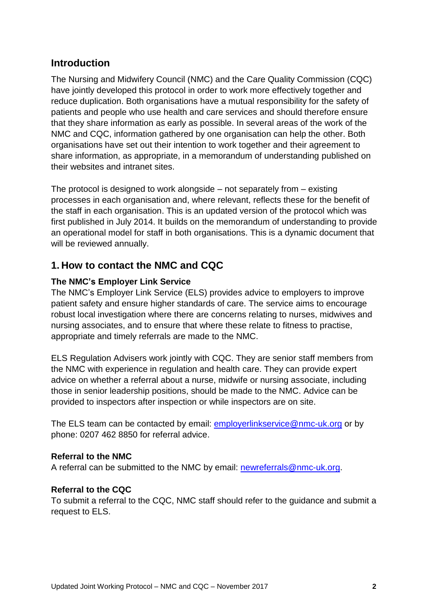# <span id="page-1-0"></span>**Introduction**

The Nursing and Midwifery Council (NMC) and the Care Quality Commission (CQC) have jointly developed this protocol in order to work more effectively together and reduce duplication. Both organisations have a mutual responsibility for the safety of patients and people who use health and care services and should therefore ensure that they share information as early as possible. In several areas of the work of the NMC and CQC, information gathered by one organisation can help the other. Both organisations have set out their intention to work together and their agreement to share information, as appropriate, in a memorandum of understanding published on their websites and intranet sites.

The protocol is designed to work alongside – not separately from – existing processes in each organisation and, where relevant, reflects these for the benefit of the staff in each organisation. This is an updated version of the protocol which was first published in July 2014. It builds on the memorandum of understanding to provide an operational model for staff in both organisations. This is a dynamic document that will be reviewed annually.

# <span id="page-1-1"></span>**1. How to contact the NMC and CQC**

#### **The NMC's Employer Link Service**

The NMC's Employer Link Service (ELS) provides advice to employers to improve patient safety and ensure higher standards of care. The service aims to encourage robust local investigation where there are concerns relating to nurses, midwives and nursing associates, and to ensure that where these relate to fitness to practise, appropriate and timely referrals are made to the NMC.

ELS Regulation Advisers work jointly with CQC. They are senior staff members from the NMC with experience in regulation and health care. They can provide expert advice on whether a referral about a nurse, midwife or nursing associate, including those in senior leadership positions, should be made to the NMC. Advice can be provided to inspectors after inspection or while inspectors are on site.

The ELS team can be contacted by email: [employerlinkservice@nmc-uk.org](mailto:employerlinkservice@nmc-uk.org) or by phone: 0207 462 8850 for referral advice.

#### **Referral to the NMC**

A referral can be submitted to the NMC by email: [newreferrals@nmc-uk.org.](mailto:newreferrals@nmc-uk.org)

#### **Referral to the CQC**

To submit a referral to the CQC, NMC staff should refer to the guidance and submit a request to ELS.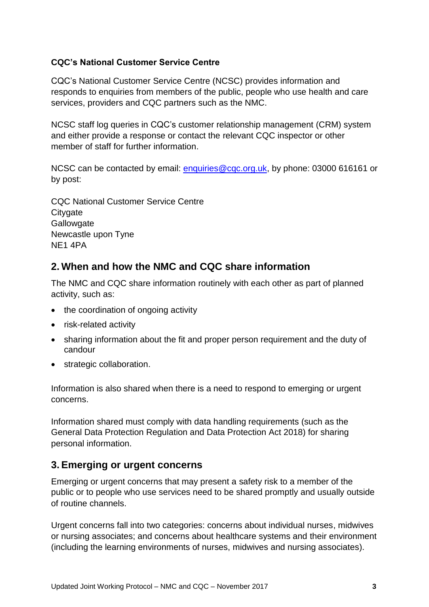#### **CQC's National Customer Service Centre**

CQC's National Customer Service Centre (NCSC) provides information and responds to enquiries from members of the public, people who use health and care services, providers and CQC partners such as the NMC.

NCSC staff log queries in CQC's customer relationship management (CRM) system and either provide a response or contact the relevant CQC inspector or other member of staff for further information.

NCSC can be contacted by email: [enquiries@cqc.org.uk,](mailto:enquiries@cqc.org.uk) by phone: 03000 616161 or by post:

CQC National Customer Service Centre **Citygate Gallowgate** Newcastle upon Tyne NE1 4PA

# <span id="page-2-0"></span>**2. When and how the NMC and CQC share information**

The NMC and CQC share information routinely with each other as part of planned activity, such as:

- the coordination of ongoing activity
- risk-related activity
- sharing information about the fit and proper person requirement and the duty of candour
- strategic collaboration.

Information is also shared when there is a need to respond to emerging or urgent concerns.

Information shared must comply with data handling requirements (such as the General Data Protection Regulation and Data Protection Act 2018) for sharing personal information.

# <span id="page-2-1"></span>**3. Emerging or urgent concerns**

Emerging or urgent concerns that may present a safety risk to a member of the public or to people who use services need to be shared promptly and usually outside of routine channels.

Urgent concerns fall into two categories: concerns about individual nurses, midwives or nursing associates; and concerns about healthcare systems and their environment (including the learning environments of nurses, midwives and nursing associates).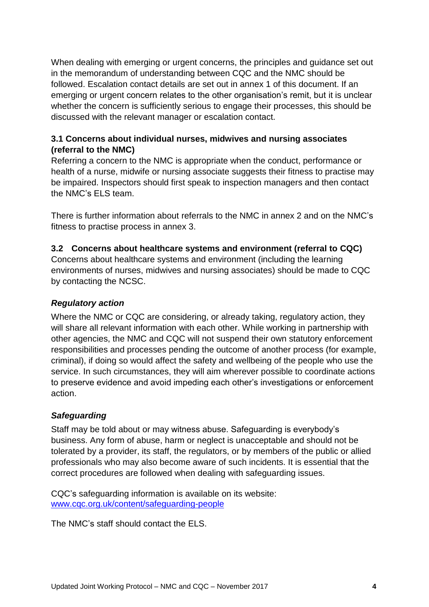When dealing with emerging or urgent concerns, the principles and guidance set out in the memorandum of understanding between CQC and the NMC should be followed. Escalation contact details are set out in annex 1 of this document. If an emerging or urgent concern relates to the other organisation's remit, but it is unclear whether the concern is sufficiently serious to engage their processes, this should be discussed with the relevant manager or escalation contact.

#### **3.1 Concerns about individual nurses, midwives and nursing associates (referral to the NMC)**

Referring a concern to the NMC is appropriate when the conduct, performance or health of a nurse, midwife or nursing associate suggests their fitness to practise may be impaired. Inspectors should first speak to inspection managers and then contact the NMC's ELS team.

There is further information about referrals to the NMC in annex 2 and on the NMC's fitness to practise process in annex 3.

#### **3.2 Concerns about healthcare systems and environment (referral to CQC)**

Concerns about healthcare systems and environment (including the learning environments of nurses, midwives and nursing associates) should be made to CQC by contacting the NCSC.

#### *Regulatory action*

Where the NMC or CQC are considering, or already taking, regulatory action, they will share all relevant information with each other. While working in partnership with other agencies, the NMC and CQC will not suspend their own statutory enforcement responsibilities and processes pending the outcome of another process (for example, criminal), if doing so would affect the safety and wellbeing of the people who use the service. In such circumstances, they will aim wherever possible to coordinate actions to preserve evidence and avoid impeding each other's investigations or enforcement action.

#### *Safeguarding*

Staff may be told about or may witness abuse. Safeguarding is everybody's business. Any form of abuse, harm or neglect is unacceptable and should not be tolerated by a provider, its staff, the regulators, or by members of the public or allied professionals who may also become aware of such incidents. It is essential that the correct procedures are followed when dealing with safeguarding issues.

CQC's safeguarding information is available on its website: [www.cqc.org.uk/content/safeguarding-people](http://www.cqc.org.uk/content/safeguarding-people)

The NMC's staff should contact the ELS.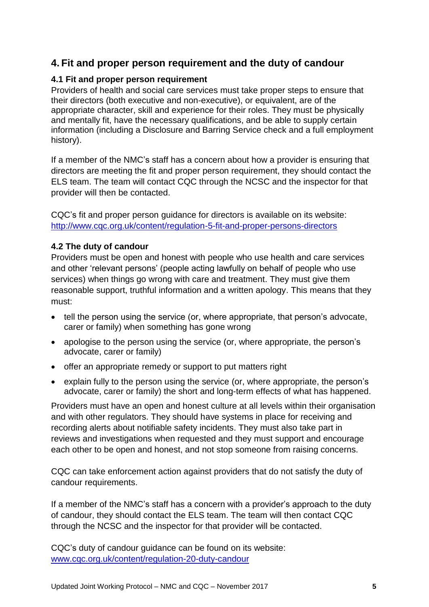# <span id="page-4-0"></span>**4. Fit and proper person requirement and the duty of candour**

#### **4.1 Fit and proper person requirement**

Providers of health and social care services must take proper steps to ensure that their directors (both executive and non-executive), or equivalent, are of the appropriate character, skill and experience for their roles. They must be physically and mentally fit, have the necessary qualifications, and be able to supply certain information (including a Disclosure and Barring Service check and a full employment history).

If a member of the NMC's staff has a concern about how a provider is ensuring that directors are meeting the fit and proper person requirement, they should contact the ELS team. The team will contact CQC through the NCSC and the inspector for that provider will then be contacted.

CQC's fit and proper person guidance for directors is available on its website: <http://www.cqc.org.uk/content/regulation-5-fit-and-proper-persons-directors>

#### **4.2 The duty of candour**

Providers must be open and honest with people who use health and care services and other 'relevant persons' (people acting lawfully on behalf of people who use services) when things go wrong with care and treatment. They must give them reasonable support, truthful information and a written apology. This means that they must:

- tell the person using the service (or, where appropriate, that person's advocate, carer or family) when something has gone wrong
- apologise to the person using the service (or, where appropriate, the person's advocate, carer or family)
- offer an appropriate remedy or support to put matters right
- explain fully to the person using the service (or, where appropriate, the person's advocate, carer or family) the short and long-term effects of what has happened.

Providers must have an open and honest culture at all levels within their organisation and with other regulators. They should have systems in place for receiving and recording alerts about notifiable safety incidents. They must also take part in reviews and investigations when requested and they must support and encourage each other to be open and honest, and not stop someone from raising concerns.

CQC can take enforcement action against providers that do not satisfy the duty of candour requirements.

If a member of the NMC's staff has a concern with a provider's approach to the duty of candour, they should contact the ELS team. The team will then contact CQC through the NCSC and the inspector for that provider will be contacted.

CQC's duty of candour guidance can be found on its website: [www.cqc.org.uk/content/regulation-20-duty-candour](http://www.cqc.org.uk/content/regulation-20-duty-candour)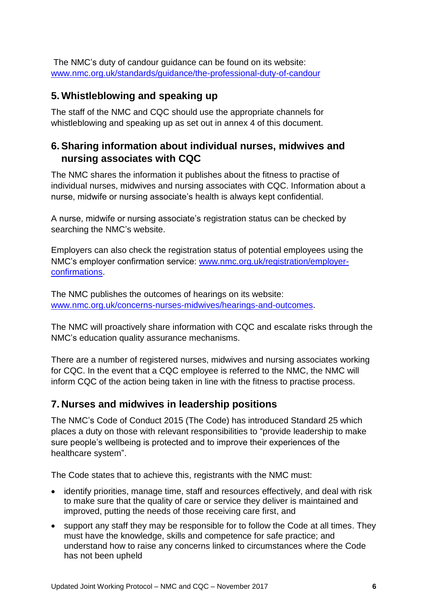The NMC's duty of candour guidance can be found on its website: [www.nmc.org.uk/standards/guidance/the-professional-duty-of-candour](http://www.nmc.org.uk/standards/guidance/the-professional-duty-of-candour)

## <span id="page-5-0"></span>**5. Whistleblowing and speaking up**

The staff of the NMC and CQC should use the appropriate channels for whistleblowing and speaking up as set out in annex 4 of this document.

# <span id="page-5-1"></span>**6. Sharing information about individual nurses, midwives and nursing associates with CQC**

The NMC shares the information it publishes about the fitness to practise of individual nurses, midwives and nursing associates with CQC. Information about a nurse, midwife or nursing associate's health is always kept confidential.

A nurse, midwife or nursing associate's registration status can be checked by searching the NMC's website.

Employers can also check the registration status of potential employees using the NMC's employer confirmation service: [www.nmc.org.uk/registration/employer](http://www.nmc.org.uk/registration/employer-confirmations)[confirmations.](http://www.nmc.org.uk/registration/employer-confirmations)

The NMC publishes the outcomes of hearings on its website: [www.nmc.org.uk/concerns-nurses-midwives/hearings-and-outcomes.](http://www.nmc.org.uk/concerns-nurses-midwives/hearings-and-outcomes)

The NMC will proactively share information with CQC and escalate risks through the NMC's education quality assurance mechanisms.

There are a number of registered nurses, midwives and nursing associates working for CQC. In the event that a CQC employee is referred to the NMC, the NMC will inform CQC of the action being taken in line with the fitness to practise process.

# <span id="page-5-2"></span>**7. Nurses and midwives in leadership positions**

The NMC's Code of Conduct 2015 (The Code) has introduced Standard 25 which places a duty on those with relevant responsibilities to "provide leadership to make sure people's wellbeing is protected and to improve their experiences of the healthcare system".

The Code states that to achieve this, registrants with the NMC must:

- identify priorities, manage time, staff and resources effectively, and deal with risk to make sure that the quality of care or service they deliver is maintained and improved, putting the needs of those receiving care first, and
- support any staff they may be responsible for to follow the Code at all times. They must have the knowledge, skills and competence for safe practice; and understand how to raise any concerns linked to circumstances where the Code has not been upheld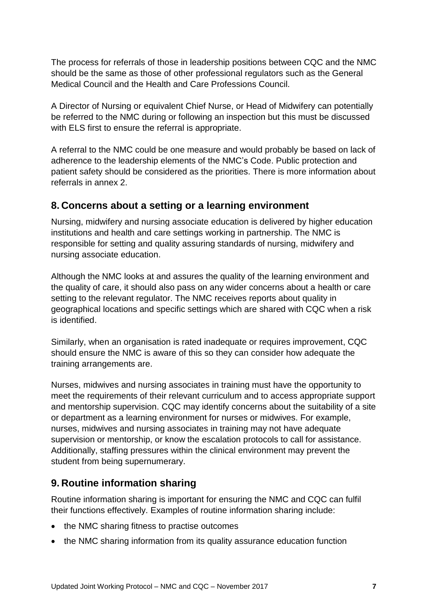The process for referrals of those in leadership positions between CQC and the NMC should be the same as those of other professional regulators such as the General Medical Council and the Health and Care Professions Council.

A Director of Nursing or equivalent Chief Nurse, or Head of Midwifery can potentially be referred to the NMC during or following an inspection but this must be discussed with ELS first to ensure the referral is appropriate.

A referral to the NMC could be one measure and would probably be based on lack of adherence to the leadership elements of the NMC's Code. Public protection and patient safety should be considered as the priorities. There is more information about referrals in annex 2.

## <span id="page-6-0"></span>**8. Concerns about a setting or a learning environment**

Nursing, midwifery and nursing associate education is delivered by higher education institutions and health and care settings working in partnership. The NMC is responsible for setting and quality assuring standards of nursing, midwifery and nursing associate education.

Although the NMC looks at and assures the quality of the learning environment and the quality of care, it should also pass on any wider concerns about a health or care setting to the relevant regulator. The NMC receives reports about quality in geographical locations and specific settings which are shared with CQC when a risk is identified.

Similarly, when an organisation is rated inadequate or requires improvement, CQC should ensure the NMC is aware of this so they can consider how adequate the training arrangements are.

Nurses, midwives and nursing associates in training must have the opportunity to meet the requirements of their relevant curriculum and to access appropriate support and mentorship supervision. CQC may identify concerns about the suitability of a site or department as a learning environment for nurses or midwives. For example, nurses, midwives and nursing associates in training may not have adequate supervision or mentorship, or know the escalation protocols to call for assistance. Additionally, staffing pressures within the clinical environment may prevent the student from being supernumerary.

# <span id="page-6-1"></span>**9. Routine information sharing**

Routine information sharing is important for ensuring the NMC and CQC can fulfil their functions effectively. Examples of routine information sharing include:

- the NMC sharing fitness to practise outcomes
- the NMC sharing information from its quality assurance education function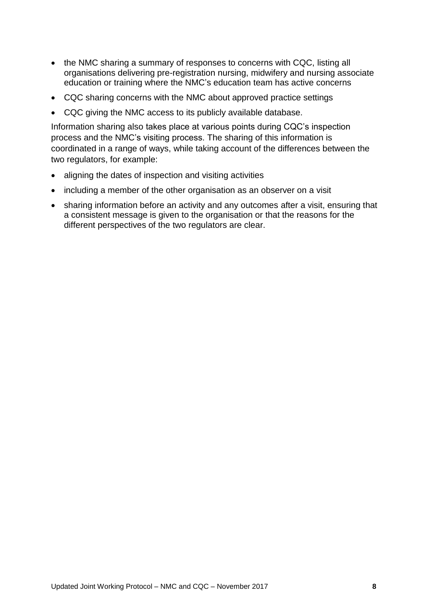- the NMC sharing a summary of responses to concerns with CQC, listing all organisations delivering pre-registration nursing, midwifery and nursing associate education or training where the NMC's education team has active concerns
- CQC sharing concerns with the NMC about approved practice settings
- CQC giving the NMC access to its publicly available database.

Information sharing also takes place at various points during CQC's inspection process and the NMC's visiting process. The sharing of this information is coordinated in a range of ways, while taking account of the differences between the two regulators, for example:

- aligning the dates of inspection and visiting activities
- including a member of the other organisation as an observer on a visit
- sharing information before an activity and any outcomes after a visit, ensuring that a consistent message is given to the organisation or that the reasons for the different perspectives of the two regulators are clear.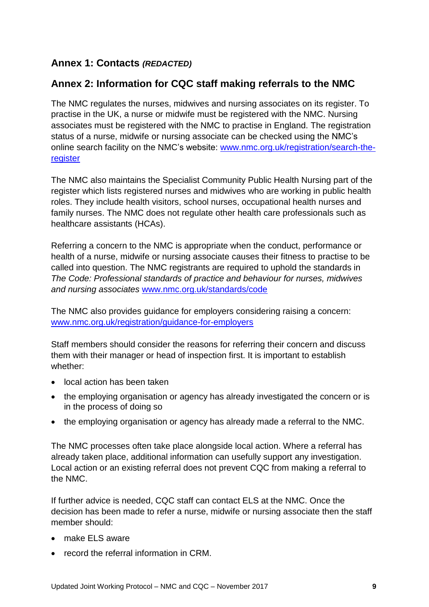# **Annex 1: Contacts** *(REDACTED)*

# <span id="page-8-0"></span>**Annex 2: Information for CQC staff making referrals to the NMC**

The NMC regulates the nurses, midwives and nursing associates on its register. To practise in the UK, a nurse or midwife must be registered with the NMC. Nursing associates must be registered with the NMC to practise in England. The registration status of a nurse, midwife or nursing associate can be checked using the NMC's online search facility on the NMC's website: [www.nmc.org.uk/registration/search-the](http://www.nmc.org.uk/registration/search-the-register)[register](http://www.nmc.org.uk/registration/search-the-register)

The NMC also maintains the Specialist Community Public Health Nursing part of the register which lists registered nurses and midwives who are working in public health roles. They include health visitors, school nurses, occupational health nurses and family nurses. The NMC does not regulate other health care professionals such as healthcare assistants (HCAs).

Referring a concern to the NMC is appropriate when the conduct, performance or health of a nurse, midwife or nursing associate causes their fitness to practise to be called into question. The NMC registrants are required to uphold the standards in *The Code: Professional standards of practice and behaviour for nurses, midwives and nursing associates* [www.nmc.org.uk/standards/code](http://www.nmc.org.uk/standards/code)

The NMC also provides guidance for employers considering raising a concern: [www.nmc.org.uk/registration/guidance-for-employers](http://www.nmc.org.uk/registration/guidance-for-employers)

Staff members should consider the reasons for referring their concern and discuss them with their manager or head of inspection first. It is important to establish whether:

- local action has been taken
- the employing organisation or agency has already investigated the concern or is in the process of doing so
- the employing organisation or agency has already made a referral to the NMC.

The NMC processes often take place alongside local action. Where a referral has already taken place, additional information can usefully support any investigation. Local action or an existing referral does not prevent CQC from making a referral to the NMC.

If further advice is needed, CQC staff can contact ELS at the NMC. Once the decision has been made to refer a nurse, midwife or nursing associate then the staff member should:

- make ELS aware
- record the referral information in CRM.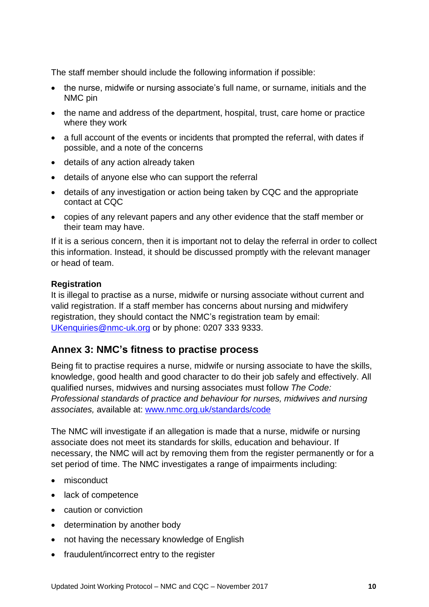The staff member should include the following information if possible:

- the nurse, midwife or nursing associate's full name, or surname, initials and the NMC pin
- the name and address of the department, hospital, trust, care home or practice where they work
- a full account of the events or incidents that prompted the referral, with dates if possible, and a note of the concerns
- details of any action already taken
- details of anyone else who can support the referral
- details of any investigation or action being taken by CQC and the appropriate contact at CQC
- copies of any relevant papers and any other evidence that the staff member or their team may have.

If it is a serious concern, then it is important not to delay the referral in order to collect this information. Instead, it should be discussed promptly with the relevant manager or head of team.

#### **Registration**

It is illegal to practise as a nurse, midwife or nursing associate without current and valid registration. If a staff member has concerns about nursing and midwifery registration, they should contact the NMC's registration team by email: [UKenquiries@nmc-uk.org](mailto:UKenquiries@nmc-uk.org) or by phone: 0207 333 9333.

#### <span id="page-9-0"></span>**Annex 3: NMC's fitness to practise process**

Being fit to practise requires a nurse, midwife or nursing associate to have the skills, knowledge, good health and good character to do their job safely and effectively. All qualified nurses, midwives and nursing associates must follow *The Code: Professional standards of practice and behaviour for nurses, midwives and nursing associates,* available at: [www.nmc.org.uk/standards/code](http://www.nmc.org.uk/standards/code)

The NMC will investigate if an allegation is made that a nurse, midwife or nursing associate does not meet its standards for skills, education and behaviour. If necessary, the NMC will act by removing them from the register permanently or for a set period of time. The NMC investigates a range of impairments including:

- misconduct
- lack of competence
- caution or conviction
- determination by another body
- not having the necessary knowledge of English
- fraudulent/incorrect entry to the register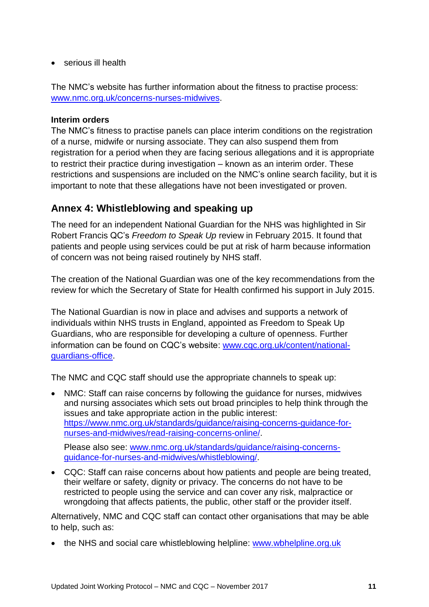serious ill health

The NMC's website has further information about the fitness to practise process: [www.nmc.org.uk/concerns-nurses-midwives.](http://www.nmc.org.uk/concerns-nurses-midwives)

#### **Interim orders**

The NMC's fitness to practise panels can place interim conditions on the registration of a nurse, midwife or nursing associate. They can also suspend them from registration for a period when they are facing serious allegations and it is appropriate to restrict their practice during investigation – known as an interim order. These restrictions and suspensions are included on the NMC's online search facility, but it is important to note that these allegations have not been investigated or proven.

#### <span id="page-10-0"></span>**Annex 4: Whistleblowing and speaking up**

The need for an independent National Guardian for the NHS was highlighted in Sir Robert Francis QC's *Freedom to Speak Up* review in February 2015. It found that patients and people using services could be put at risk of harm because information of concern was not being raised routinely by NHS staff.

The creation of the National Guardian was one of the key recommendations from the review for which the Secretary of State for Health confirmed his support in July 2015.

The National Guardian is now in place and advises and supports a network of individuals within NHS trusts in England, appointed as Freedom to Speak Up Guardians, who are responsible for developing a culture of openness. Further information can be found on CQC's website: [www.cqc.org.uk/content/national](http://www.cqc.org.uk/content/national-guardians-office)[guardians-office.](http://www.cqc.org.uk/content/national-guardians-office)

The NMC and CQC staff should use the appropriate channels to speak up:

• NMC: Staff can raise concerns by following the guidance for nurses, midwives and nursing associates which sets out broad principles to help think through the issues and take appropriate action in the public interest: [https://www.nmc.org.uk/standards/guidance/raising-concerns-guidance-for](https://www.nmc.org.uk/standards/guidance/raising-concerns-guidance-for-nurses-and-midwives/read-raising-concerns-online/)[nurses-and-midwives/read-raising-concerns-online/.](https://www.nmc.org.uk/standards/guidance/raising-concerns-guidance-for-nurses-and-midwives/read-raising-concerns-online/)

Please also see: [www.nmc.org.uk/standards/guidance/raising-concerns](http://www.nmc.org.uk/standards/guidance/raising-concerns-guidance-for-nurses-and-midwives/whistleblowing/)[guidance-for-nurses-and-midwives/whistleblowing/.](http://www.nmc.org.uk/standards/guidance/raising-concerns-guidance-for-nurses-and-midwives/whistleblowing/)

 CQC: Staff can raise concerns about how patients and people are being treated, their welfare or safety, dignity or privacy. The concerns do not have to be restricted to people using the service and can cover any risk, malpractice or wrongdoing that affects patients, the public, other staff or the provider itself.

Alternatively, NMC and CQC staff can contact other organisations that may be able to help, such as:

• the NHS and social care whistleblowing helpline: www.wbhelpline.org.uk